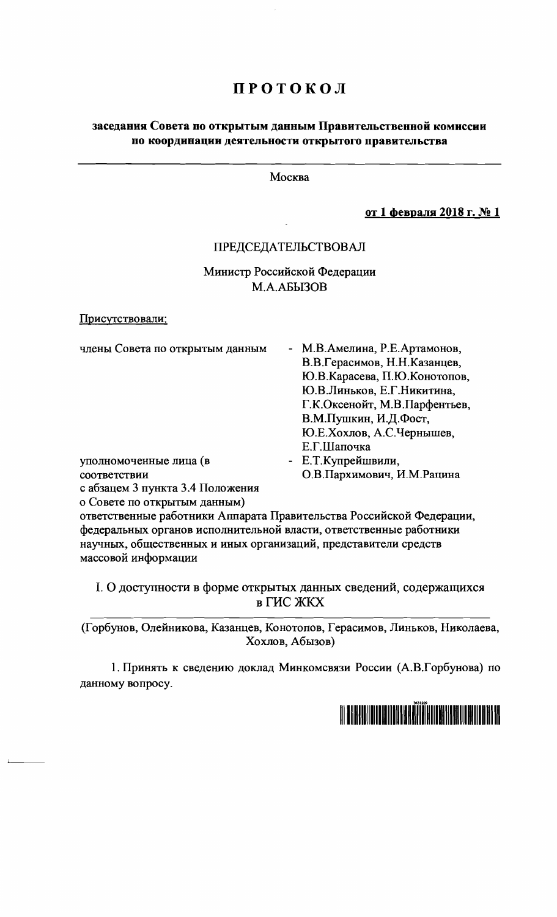## ПРОТОКОЛ

### заседания Совета по открытым данным Правительственной комиссии по координации деятельности открытого правительства

Москва

от 1 февраля 2018 г. № 1

#### ПРЕДСЕДАТЕЛЬСТВОВАЛ

Министр Российской Федерации M.A.A<sub>b</sub>I3OB

Присутствовали:

| члены Совета по открытым данным  | - М.В.Амелина, Р.Е.Артамонов, |
|----------------------------------|-------------------------------|
|                                  | В.В.Герасимов, Н.Н.Казанцев,  |
|                                  | Ю.В.Карасева, П.Ю.Конотопов,  |
|                                  | Ю.В.Линьков, Е.Г.Никитина,    |
|                                  | Г.К.Оксенойт, М.В.Парфентьев, |
|                                  | В.М.Пушкин, И.Д.Фост,         |
|                                  | Ю.Е.Хохлов, А.С.Чернышев,     |
|                                  | Е.Г.Шапочка                   |
| уполномоченные лица (в           | - Е.Т.Купрейшвили,            |
| соответствии                     | О.В.Пархимович, И.М.Рацина    |
| с абзацем 3 пункта 3.4 Положения |                               |

о Совете по открытым данным)

ответственные работники Аппарата Правительства Российской Федерации, федеральных органов исполнительной власти, ответственные работники научных, общественных и иных организаций, представители средств массовой информации

I. О доступности в форме открытых данных сведений, содержащихся в ГИС ЖКХ

(Горбунов, Олейникова, Казанцев, Конотопов, Герасимов, Линьков, Николаева, Хохлов, Абызов)

1. Принять к сведению доклад Минкомсвязи России (А.В.Горбунова) по данному вопросу.

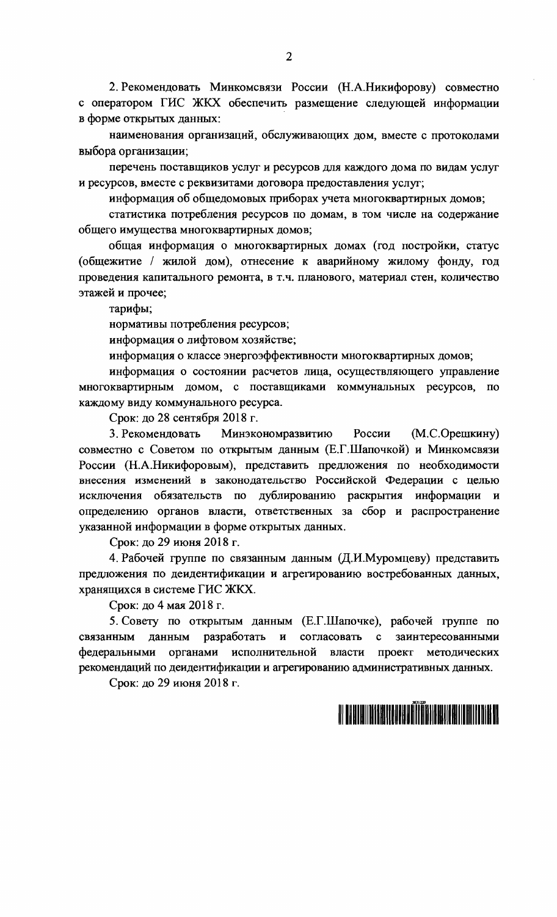2. Рекомендовать Минкомсвязи России (Н.А.Никифорову) совместно с оператором ГИС ЖКХ обеспечить размещение следующей информации в форме открытых данных:

наименования организаций, обслуживающих дом, вместе с протоколами выбора организации;

перечень поставщиков услуг и ресурсов для каждого дома по видам услуг и ресурсов, вместе с реквизитами договора предоставления услуг;

информация об общедомовых приборах учета многоквартирных домов;

статистика потребления ресурсов по домам, в том числе на содержание общего имущества многоквартирных домов;

общая информация о многоквартирных домах (год постройки, статус (общежитие / жилой дом), отнесение к аварийному жилому фонду, год проведения капитального ремонта, в т.ч. планового, материал стен, количество этажей и прочее;

тарифы;

нормативы потребления ресурсов;

информация о лифтовом хозяйстве;

информация о классе энергоэффективности многоквартирных домов;

информация о состоянии расчетов лица, осуществляющего управление многоквартирным домом, с поставщиками коммунальных ресурсов, по каждому виду коммунального ресурса.

Срок: до 28 сентября 2018 г.

3. Рекомендовать Минэкономразвитию России  $(M.C.Opeu$ кину) совместно с Советом по открытым данным (Е.Г.Шапочкой) и Минкомсвязи России (Н.А.Никифоровым), представить предложения по необходимости внесения изменений в законодательство Российской Федерации с целью исключения обязательств по дублированию раскрытия информации и определению органов власти, ответственных за сбор и распространение указанной информации в форме открытых данных.

Срок: до 29 июня 2018 г.

4. Рабочей группе по связанным данным (Д.И.Муромцеву) представить предложения по деидентификации и агрегированию востребованных данных, хранящихся в системе ГИС ЖКХ.

Срок: до 4 мая 2018 г.

5. Совету по открытым данным (Е.Г.Шапочке), рабочей группе по разработать  $\mathbf{H}$ согласовать заинтересованными связанным данным  $\mathbf{c}$ органами исполнительной федеральными власти проект методических рекомендаций по деидентификации и агрегированию административных данных.

Срок: до 29 июня 2018 г.

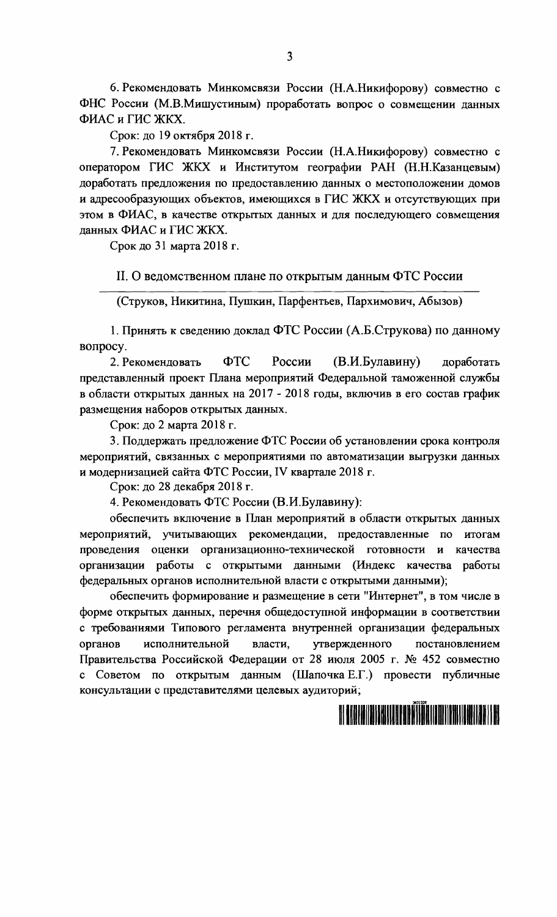6. Рекомендовать Минкомсвязи России (Н.А.Никифорову) совместно с ФНС России (М.В.Мишустиным) проработать вопрос о совмещении данных ФИАС и ГИС ЖКХ.

Срок: до 19 октября 2018 г.

7. Рекомендовать Минкомсвязи России (Н.А.Никифорову) совместно с оператором ГИС ЖКХ и Институтом географии РАН (Н.Н.Казанцевым) доработать предложения по предоставлению данных о местоположении домов и адресообразующих объектов, имеющихся в ГИС ЖКХ и отсутствующих при этом в ФИАС, в качестве открытых данных и для последующего совмещения данных ФИАС и ГИС ЖКХ.

Срок до 31 марта 2018 г.

II. О ведомственном плане по открытым данным ФТС России

(Струков, Никитина, Пушкин, Парфентьев, Пархимович, Абызов)

1. Принять к сведению доклад ФТС России (А.Б.Струкова) по данному вопросу.

России ФTC (В.И.Булавину) 2. Рекомендовать доработать представленный проект Плана мероприятий Федеральной таможенной службы в области открытых данных на 2017 - 2018 годы, включив в его состав график размещения наборов открытых данных.

Срок: до 2 марта 2018 г.

3. Поддержать предложение ФТС России об установлении срока контроля мероприятий, связанных с мероприятиями по автоматизации выгрузки данных и модернизацией сайта ФТС России, IV квартале 2018 г.

Срок: до 28 декабря 2018 г.

4. Рекомендовать ФТС России (В.И.Булавину):

обеспечить включение в План мероприятий в области открытых данных мероприятий, учитывающих рекомендации, предоставленные по итогам проведения оценки организационно-технической готовности и качества организации работы с открытыми данными (Индекс качества работы федеральных органов исполнительной власти с открытыми данными);

обеспечить формирование и размещение в сети "Интернет", в том числе в форме открытых данных, перечня общедоступной информации в соответствии с требованиями Типового регламента внутренней организации федеральных органов исполнительной утвержденного постановлением власти. Правительства Российской Федерации от 28 июля 2005 г. № 452 совместно с Советом по открытым данным (Шапочка Е.Г.) провести публичные консультации с представителями целевых аудиторий;

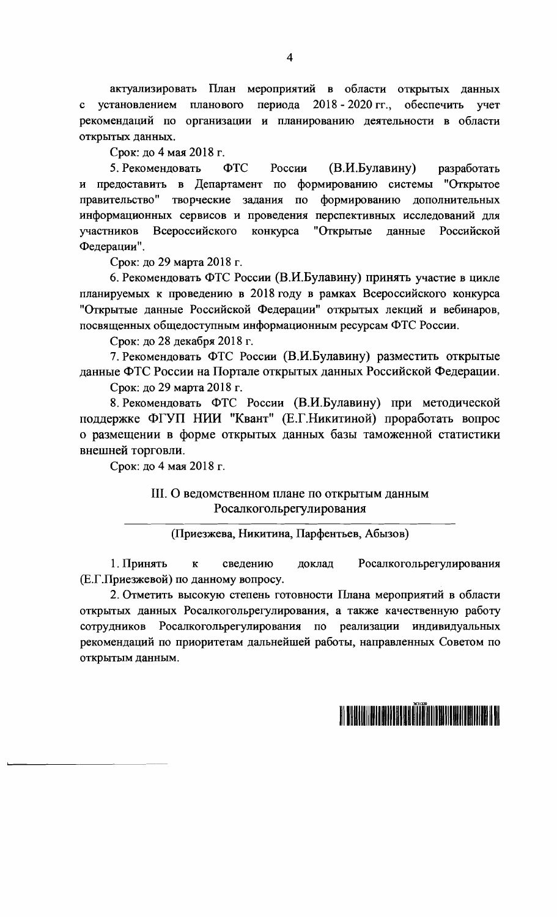актуализировать План мероприятий в области открытых данных планового периода 2018 - 2020 гг., обеспечить с установлением учет рекомендаций по организации и планированию деятельности в области открытых данных.

Срок: до 4 мая 2018 г.

5. Рекомендовать (В.И.Булавину)  $\Phi$ TC России разработать и предоставить в Департамент по формированию системы "Открытое правительство" творческие задания по формированию дополнительных информационных сервисов и проведения перспективных исследований для участников Всероссийского конкурса "Открытые данные Российской Федерации".

Срок: до 29 марта 2018 г.

6. Рекомендовать ФТС России (В.И.Булавину) принять участие в цикле планируемых к проведению в 2018 году в рамках Всероссийского конкурса "Открытые данные Российской Федерации" открытых лекций и вебинаров, посвященных общедоступным информационным ресурсам ФТС России.

Срок: до 28 декабря 2018 г.

7. Рекомендовать ФТС России (В.И.Булавину) разместить открытые данные ФТС России на Портале открытых данных Российской Федерации.

Срок: до 29 марта 2018 г.

8. Рекомендовать ФТС России (В.И.Булавину) при методической поддержке ФГУП НИИ "Квант" (Е.Г.Никитиной) проработать вопрос о размещении в форме открытых данных базы таможенной статистики внешней торговли.

Срок: до 4 мая 2018 г.

#### III. О ведомственном плане по открытым данным Росалкогольрегулирования

(Приезжева, Никитина, Парфентьев, Абызов)

1. Принять  $\overline{\mathbf{K}}$ сведению доклад Росалкогольрегулирования (Е.Г.Приезжевой) по данному вопросу.

2. Отметить высокую степень готовности Плана мероприятий в области открытых данных Росалкогольрегулирования, а также качественную работу Росалкогольрегулирования по реализации индивидуальных сотрудников рекомендаций по приоритетам дальнейшей работы, направленных Советом по открытым данным.

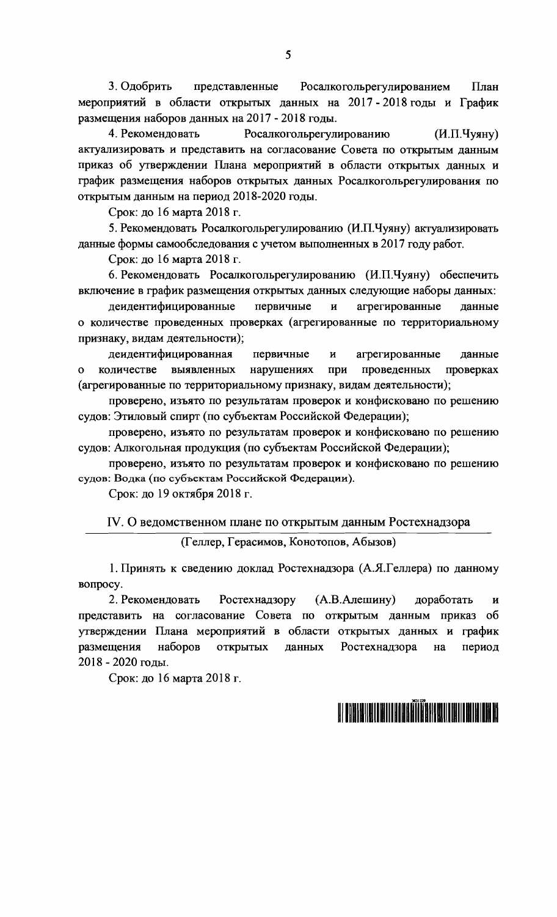3. Одобрить представленные Росалкогольрегулированием План мероприятий в области открытых данных на 2017-2018 годы и График размещения наборов данных на 2017 - 2018 годы.

4. Рекомендовать Росалкогольрегулированию  $(M.\Pi.\mathrm{Hyrity})$ актуализировать и представить на согласование Совета по открытым данным приказ об утверждении Плана мероприятий в области открытых данных и график размещения наборов открытых данных Росалкогольрегулирования по открытым данным на период 2018-2020 годы.

Срок: до 16 марта 2018 г.

5. Рекомендовать Росалкогольрегулированию (И.П.Чуяну) актуализировать данные формы самообследования с учетом выполненных в 2017 году работ.

Срок: до 16 марта 2018 г.

6. Рекомендовать Росалкогольрегулированию (И.П.Чуяну) обеспечить включение в график размещения открытых данных следующие наборы данных:

деидентифицированные первичные агрегированные  $\mathbf{H}$ ланные о количестве проведенных проверках (агрегированные по территориальному признаку, видам деятельности);

деидентифицированная первичные  $\mathbf{M}$ агрегированные данные количестве выявленных нарушениях при проведенных проверках  $\Omega$ (агрегированные по территориальному признаку, видам деятельности);

проверено, изъято по результатам проверок и конфисковано по решению судов: Этиловый спирт (по субъектам Российской Федерации);

проверено, изъято по результатам проверок и конфисковано по решению судов: Алкогольная продукция (по субъектам Российской Федерации);

проверено, изъято по результатам проверок и конфисковано по решению судов: Водка (по субъектам Российской Федерации).

Срок: до 19 октября 2018 г.

IV. О ведомственном плане по открытым данным Ростехнадзора

(Геллер, Герасимов, Конотопов, Абызов)

1. Принять к сведению доклад Ростехнадзора (А.Я.Геллера) по данному вопросу.

2. Рекомендовать Ростехнадзору  $(A.B.AJREIIUHY)$ доработать  $\mathbf{H}$ представить на согласование Совета по открытым данным приказ об утверждении Плана мероприятий в области открытых данных и график размещения наборов открытых Ростехнадзора данных на период 2018 - 2020 годы.

Срок: до 16 марта 2018 г.

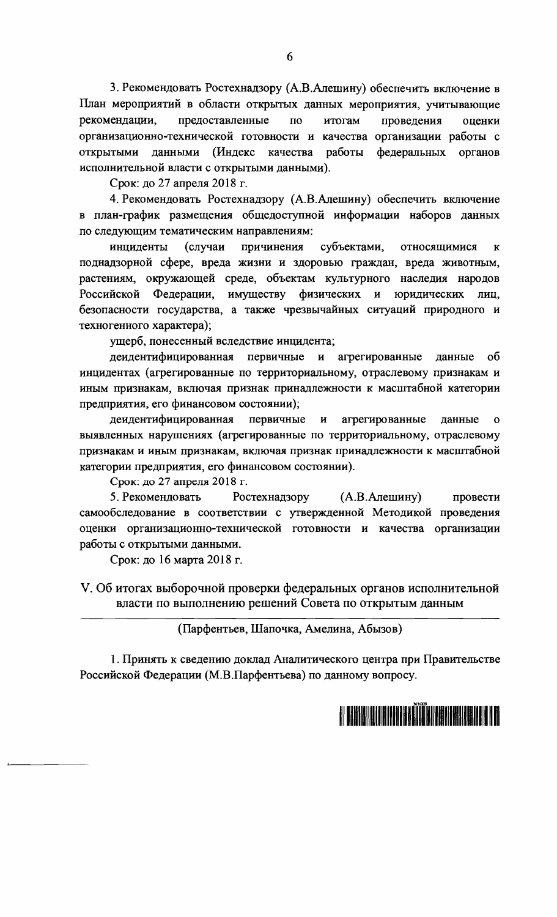3. Рекомендовать Ростехнадзору (А.В.Алешину) обеспечить включение в План мероприятий в области открытых данных мероприятия, учитывающие рекомендации. предоставленные  $\overline{10}$ итогам проведения оценки организационно-технической готовности и качества организации работы с данными (Индекс **ОТКРЫТЫМИ** качества работы федеральных органов исполнительной власти с открытыми данными).

Срок: до 27 апреля 2018 г.

4. Рекомендовать Ростехнадзору (А.В.Алешину) обеспечить включение в план-график размещения общедоступной информации наборов данных по следующим тематическим направлениям:

инциденты (случаи причинения субъектами, относящимися  $\mathbf{K}$ поднадзорной сфере, вреда жизни и здоровью граждан, вреда животным, растениям, окружающей среде, объектам культурного наследия народов Российской Федерации, имуществу физических  $\mathbf{M}$ юридических лиц. безопасности государства, а также чрезвычайных ситуаций природного и техногенного характера);

ущерб, понесенный вследствие инцидента;

деидентифицированная первичные и агрегированные данные  $\overline{0}$ инцидентах (агрегированные по территориальному, отраслевому признакам и иным признакам, включая признак принадлежности к масштабной категории предприятия, его финансовом состоянии);

деидентифицированная первичные и агрегированные ланные  $\mathbf{o}$ выявленных нарушениях (агрегированные по территориальному, отраслевому признакам и иным признакам, включая признак принадлежности к масштабной категории предприятия, его финансовом состоянии).

Срок: до 27 апреля 2018 г.

5. Рекомендовать Ростехнадзору (А.В. Алешину) провести самообследование в соответствии с утвержденной Методикой проведения оценки организационно-технической готовности и качества организации работы с открытыми данными.

Срок: до 16 марта 2018 г.

V. Об итогах выборочной проверки федеральных органов исполнительной власти по выполнению решений Совета по открытым данным

(Парфентьев, Шапочка, Амелина, Абызов)

1. Принять к сведению доклад Аналитического центра при Правительстве Российской Федерации (М.В.Парфентьева) по данному вопросу.



6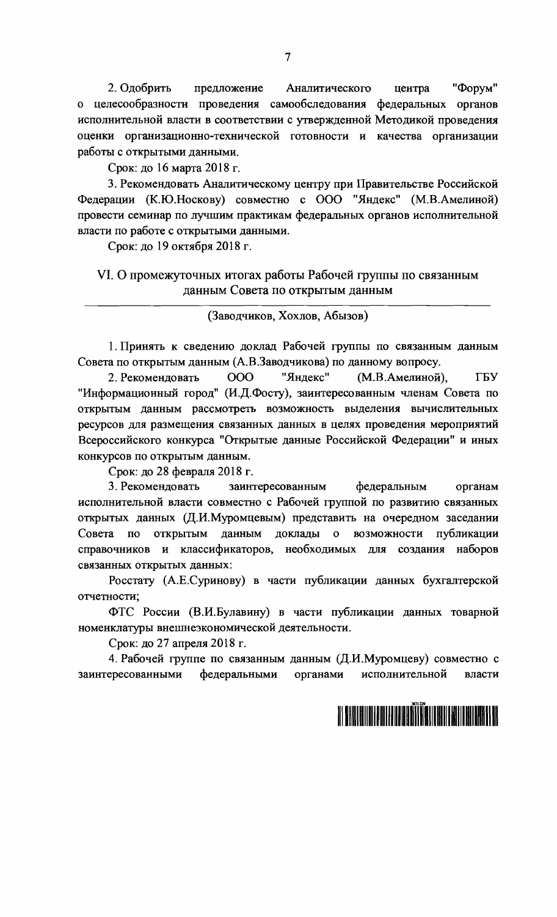2. Одобрить предложение Аналитического "Форум" центра о целесообразности проведения самообследования федеральных органов исполнительной власти в соответствии с утвержденной Методикой проведения оценки организационно-технической готовности и качества организации работы с открытыми данными.

Срок: до 16 марта 2018 г.

3. Рекомендовать Аналитическому центру при Правительстве Российской Федерации (К.Ю.Носкову) совместно с ООО "Яндекс" (М.В.Амелиной) провести семинар по лучшим практикам федеральных органов исполнительной власти по работе с открытыми данными.

Срок: до 19 октября 2018 г.

#### VI. О промежуточных итогах работы Рабочей группы по связанным данным Совета по открытым данным

(Заводчиков, Хохлов, Абызов)

1. Принять к сведению доклад Рабочей группы по связанным данным Совета по открытым данным (А.В.Заводчикова) по данному вопросу.

2. Рекомендовать 000 "Яндекс" (М.В.Амелиной), ГБУ "Информационный город" (И.Д.Фосту), заинтересованным членам Совета по открытым данным рассмотреть возможность выделения вычислительных ресурсов для размещения связанных данных в целях проведения мероприятий Всероссийского конкурса "Открытые данные Российской Федерации" и иных конкурсов по открытым данным.

Срок: до 28 февраля 2018 г.

3. Рекомендовать заинтересованным федеральным органам исполнительной власти совместно с Рабочей группой по развитию связанных открытых данных (Д.И.Муромцевым) представить на очередном заседании открытым данным доклады о возможности публикации Совета  $\Pi$ O справочников и классификаторов, необходимых для создания наборов связанных открытых данных:

Росстату (А.Е.Суринову) в части публикации данных бухгалтерской отчетности;

ФТС России (В.И.Булавину) в части публикации данных товарной номенклатуры внешнеэкономической деятельности.

Срок: до 27 апреля 2018 г.

4. Рабочей группе по связанным данным (Д.И.Муромцеву) совместно с федеральными органами исполнительной заинтересованными власти

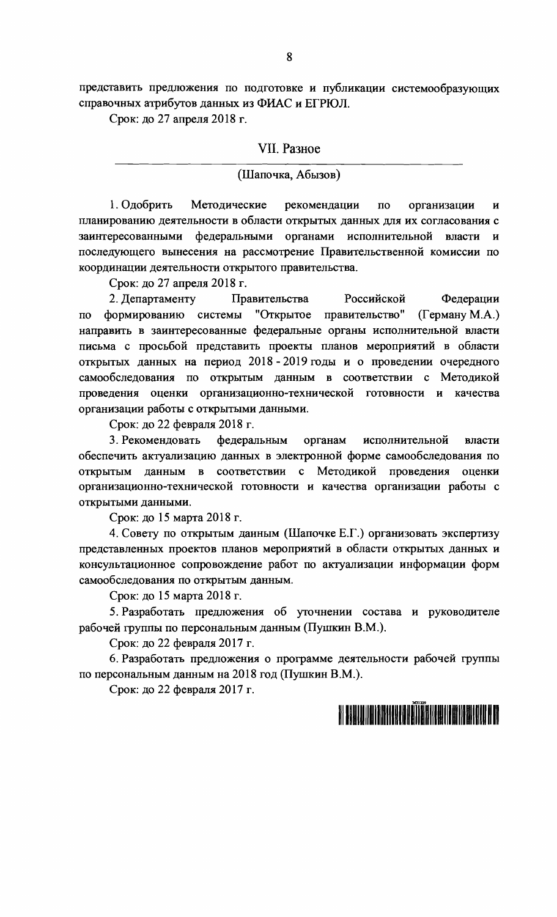представить предложения по подготовке и публикации системообразующих справочных атрибутов данных из ФИАС и ЕГРЮЛ.

Срок: до 27 апреля 2018 г.

#### VII. Разное

#### (Шапочка, Абызов)

1. Одобрить Методические рекомендации  $\overline{a}$ организации  $\mathbf{H}$ планированию деятельности в области открытых данных для их согласования с заинтересованными федеральными органами исполнительной власти и последующего вынесения на рассмотрение Правительственной комиссии по координации деятельности открытого правительства.

Срок: до 27 апреля 2018 г.

Российской 2. Департаменту Правительства Федерации формированию системы "Открытое правительство"  $(Tepm$ ану М.А.)  $\Pi$ O направить в заинтересованные федеральные органы исполнительной власти письма с просьбой представить проекты планов мероприятий в области открытых данных на период 2018 - 2019 годы и о проведении очередного самообследования по открытым данным в соответствии с Методикой проведения оценки организационно-технической готовности и качества организации работы с открытыми данными.

Срок: до 22 февраля 2018 г.

3. Рекомендовать федеральным органам исполнительной власти обеспечить актуализацию данных в электронной форме самообследования по данным в соответствии с Методикой проведения **ОТКРЫТЫМ** оценки организационно-технической готовности и качества организации работы с открытыми данными.

Срок: до 15 марта 2018 г.

4. Совету по открытым данным (Шапочке Е.Г.) организовать экспертизу представленных проектов планов мероприятий в области открытых данных и консультационное сопровождение работ по актуализации информации форм самообследования по открытым данным.

Срок: до 15 марта 2018 г.

5. Разработать предложения об уточнении состава и руководителе рабочей группы по персональным данным (Пушкин В.М.).

Срок: до 22 февраля 2017 г.

6. Разработать предложения о программе деятельности рабочей группы по персональным данным на 2018 год (Пушкин В.М.).

Срок: до 22 февраля 2017 г.